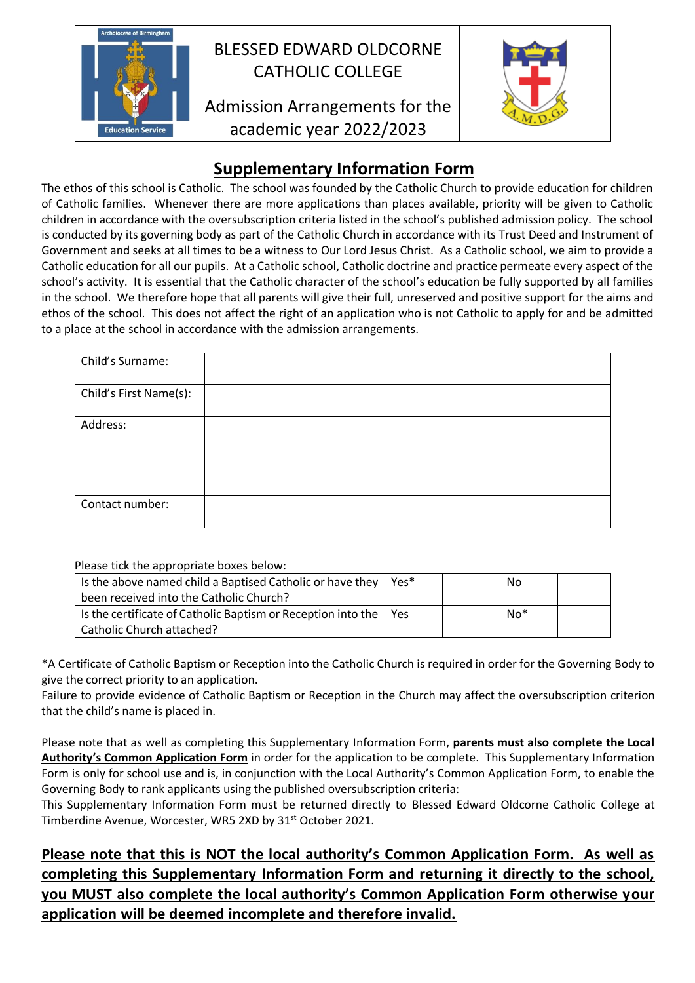

## BLESSED EDWARD OLDCORNE CATHOLIC COLLEGE

Admission Arrangements for the academic year 2022/2023



## **Supplementary Information Form**

The ethos of this school is Catholic. The school was founded by the Catholic Church to provide education for children of Catholic families. Whenever there are more applications than places available, priority will be given to Catholic children in accordance with the oversubscription criteria listed in the school's published admission policy. The school is conducted by its governing body as part of the Catholic Church in accordance with its Trust Deed and Instrument of Government and seeks at all times to be a witness to Our Lord Jesus Christ. As a Catholic school, we aim to provide a Catholic education for all our pupils. At a Catholic school, Catholic doctrine and practice permeate every aspect of the school's activity. It is essential that the Catholic character of the school's education be fully supported by all families in the school. We therefore hope that all parents will give their full, unreserved and positive support for the aims and ethos of the school. This does not affect the right of an application who is not Catholic to apply for and be admitted to a place at the school in accordance with the admission arrangements.

| Child's Surname:       |  |
|------------------------|--|
| Child's First Name(s): |  |
| Address:               |  |
| Contact number:        |  |

Please tick the appropriate boxes below:

| Is the above named child a Baptised Catholic or have they $ $      | Yes* | No    |  |
|--------------------------------------------------------------------|------|-------|--|
| been received into the Catholic Church?                            |      |       |  |
| Is the certificate of Catholic Baptism or Reception into the   Yes |      | $No*$ |  |
| Catholic Church attached?                                          |      |       |  |

\*A Certificate of Catholic Baptism or Reception into the Catholic Church is required in order for the Governing Body to give the correct priority to an application.

Failure to provide evidence of Catholic Baptism or Reception in the Church may affect the oversubscription criterion that the child's name is placed in.

Please note that as well as completing this Supplementary Information Form, **parents must also complete the Local Authority's Common Application Form** in order for the application to be complete. This Supplementary Information Form is only for school use and is, in conjunction with the Local Authority's Common Application Form, to enable the Governing Body to rank applicants using the published oversubscription criteria:

This Supplementary Information Form must be returned directly to Blessed Edward Oldcorne Catholic College at Timberdine Avenue, Worcester, WR5 2XD by 31<sup>st</sup> October 2021.

**Please note that this is NOT the local authority's Common Application Form. As well as completing this Supplementary Information Form and returning it directly to the school, you MUST also complete the local authority's Common Application Form otherwise your application will be deemed incomplete and therefore invalid.**